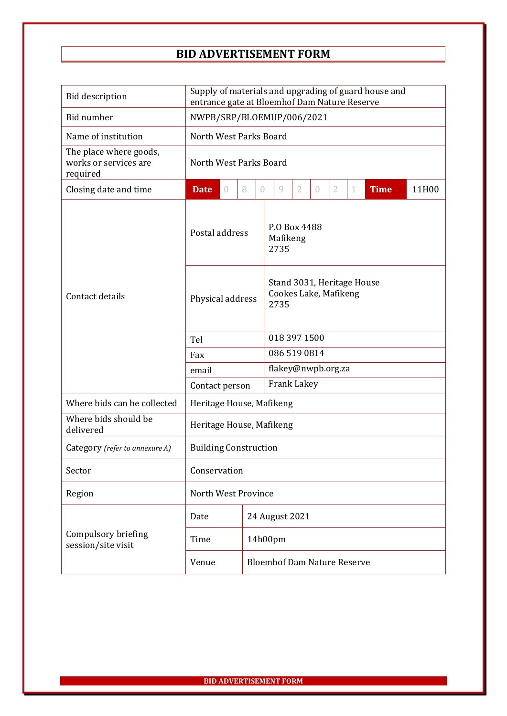## **BID ADVERTISEMENT FORM**

| <b>Bid description</b>                                      | Supply of materials and upgrading of guard house and<br>entrance gate at Bloemhof Dam Nature Reserve |          |                                    |                |                                                             |                |                |                |   |             |       |  |
|-------------------------------------------------------------|------------------------------------------------------------------------------------------------------|----------|------------------------------------|----------------|-------------------------------------------------------------|----------------|----------------|----------------|---|-------------|-------|--|
| Bid number                                                  | NWPB/SRP/BLOEMUP/006/2021                                                                            |          |                                    |                |                                                             |                |                |                |   |             |       |  |
| Name of institution                                         | North West Parks Board                                                                               |          |                                    |                |                                                             |                |                |                |   |             |       |  |
| The place where goods,<br>works or services are<br>required | North West Parks Board                                                                               |          |                                    |                |                                                             |                |                |                |   |             |       |  |
| Closing date and time                                       | <b>Date</b>                                                                                          | $\theta$ | 8                                  | 0              | 9                                                           | $\overline{2}$ | $\overline{0}$ | $\overline{2}$ | 1 | <b>Time</b> | 11H00 |  |
| Contact details                                             | Postal address                                                                                       |          |                                    |                | P.O Box 4488<br>Mafikeng<br>2735                            |                |                |                |   |             |       |  |
|                                                             | Physical address                                                                                     |          |                                    |                | Stand 3031, Heritage House<br>Cookes Lake, Mafikeng<br>2735 |                |                |                |   |             |       |  |
|                                                             | Tel                                                                                                  |          |                                    |                | 018 397 1500                                                |                |                |                |   |             |       |  |
|                                                             | Fax                                                                                                  |          |                                    |                | 086 519 0814                                                |                |                |                |   |             |       |  |
|                                                             | email                                                                                                |          |                                    |                | flakey@nwpb.org.za                                          |                |                |                |   |             |       |  |
|                                                             | Contact person                                                                                       |          |                                    |                | Frank Lakey                                                 |                |                |                |   |             |       |  |
| Where bids can be collected                                 | Heritage House, Mafikeng                                                                             |          |                                    |                |                                                             |                |                |                |   |             |       |  |
| Where bids should be<br>delivered                           | Heritage House, Mafikeng                                                                             |          |                                    |                |                                                             |                |                |                |   |             |       |  |
| Category (refer to annexure A)                              | <b>Building Construction</b>                                                                         |          |                                    |                |                                                             |                |                |                |   |             |       |  |
| Sector                                                      | Conservation                                                                                         |          |                                    |                |                                                             |                |                |                |   |             |       |  |
| Region                                                      | North West Province                                                                                  |          |                                    |                |                                                             |                |                |                |   |             |       |  |
| Compulsory briefing<br>session/site visit                   | Date                                                                                                 |          |                                    | 24 August 2021 |                                                             |                |                |                |   |             |       |  |
|                                                             | Time                                                                                                 |          |                                    |                | 14h00pm                                                     |                |                |                |   |             |       |  |
|                                                             | Venue                                                                                                |          | <b>Bloemhof Dam Nature Reserve</b> |                |                                                             |                |                |                |   |             |       |  |